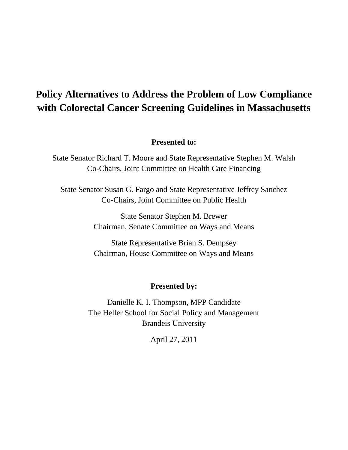# **Policy Alternatives to Address the Problem of Low Compliance with Colorectal Cancer Screening Guidelines in Massachusetts**

## **Presented to:**

State Senator Richard T. Moore and State Representative Stephen M. Walsh Co-Chairs, Joint Committee on Health Care Financing

State Senator Susan G. Fargo and State Representative Jeffrey Sanchez Co-Chairs, Joint Committee on Public Health

> State Senator Stephen M. Brewer Chairman, Senate Committee on Ways and Means

> State Representative Brian S. Dempsey Chairman, House Committee on Ways and Means

### **Presented by:**

Danielle K. I. Thompson, MPP Candidate The Heller School for Social Policy and Management Brandeis University

April 27, 2011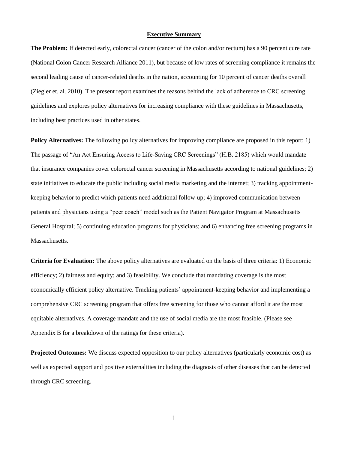#### **Executive Summary**

**The Problem:** If detected early, colorectal cancer (cancer of the colon and/or rectum) has a 90 percent cure rate (National Colon Cancer Research Alliance 2011), but because of low rates of screening compliance it remains the second leading cause of cancer-related deaths in the nation, accounting for 10 percent of cancer deaths overall (Ziegler et. al. 2010). The present report examines the reasons behind the lack of adherence to CRC screening guidelines and explores policy alternatives for increasing compliance with these guidelines in Massachusetts, including best practices used in other states.

**Policy Alternatives:** The following policy alternatives for improving compliance are proposed in this report: 1) The passage of "An Act Ensuring Access to Life-Saving CRC Screenings" (H.B. 2185) which would mandate that insurance companies cover colorectal cancer screening in Massachusetts according to national guidelines; 2) state initiatives to educate the public including social media marketing and the internet; 3) tracking appointmentkeeping behavior to predict which patients need additional follow-up; 4) improved communication between patients and physicians using a "peer coach" model such as the Patient Navigator Program at Massachusetts General Hospital; 5) continuing education programs for physicians; and 6) enhancing free screening programs in Massachusetts.

**Criteria for Evaluation:** The above policy alternatives are evaluated on the basis of three criteria: 1) Economic efficiency; 2) fairness and equity; and 3) feasibility. We conclude that mandating coverage is the most economically efficient policy alternative. Tracking patients' appointment-keeping behavior and implementing a comprehensive CRC screening program that offers free screening for those who cannot afford it are the most equitable alternatives. A coverage mandate and the use of social media are the most feasible. (Please see Appendix B for a breakdown of the ratings for these criteria).

**Projected Outcomes:** We discuss expected opposition to our policy alternatives (particularly economic cost) as well as expected support and positive externalities including the diagnosis of other diseases that can be detected through CRC screening.

1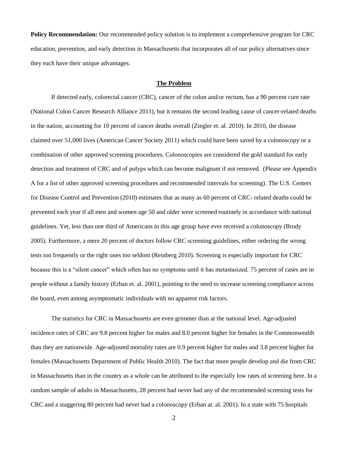**Policy Recommendation:** Our recommended policy solution is to implement a comprehensive program for CRC education, prevention, and early detection in Massachusetts that incorporates all of our policy alternatives since they each have their unique advantages.

#### **The Problem**

If detected early, colorectal cancer (CRC), cancer of the colon and/or rectum, has a 90 percent cure rate (National Colon Cancer Research Alliance 2011), but it remains the second leading cause of cancer-related deaths in the nation, accounting for 10 percent of cancer deaths overall (Ziegler et. al. 2010). In 2010, the disease claimed over 51,000 lives (American Cancer Society 2011) which could have been saved by a colonoscopy or a combination of other approved screening procedures. Colonoscopies are considered the gold standard for early detection and treatment of CRC and of polyps which can become malignant if not removed. (Please see Appendix A for a list of other approved screening procedures and recommended intervals for screening). The U.S. Centers for Disease Control and Prevention (2010) estimates that as many as 60 percent of CRC- related deaths could be prevented each year if all men and women age 50 and older were screened routinely in accordance with national guidelines. Yet, less than one third of Americans in this age group have ever received a colonoscopy (Brody 2005). Furthermore, a mere 20 percent of doctors follow CRC screening guidelines, either ordering the wrong tests too frequently or the right ones too seldom (Reinberg 2010). Screening is especially important for CRC because this is a "silent cancer" which often has no symptoms until it has metastasized. 75 percent of cases are in people without a family history (Erban et. al. 2001), pointing to the need to increase screening compliance across the board, even among asymptomatic individuals with no apparent risk factors.

The statistics for CRC in Massachusetts are even grimmer than at the national level. Age-adjusted incidence rates of CRC are 9.8 percent higher for males and 8.0 percent higher for females in the Commonwealth than they are nationwide. Age-adjusted mortality rates are 0.9 percent higher for males and 3.8 percent higher for females (Massachusetts Department of Public Health 2010). The fact that more people develop and die from CRC in Massachusetts than in the country as a whole can be attributed to the especially low rates of screening here. In a random sample of adults in Massachusetts, 28 percent had never had any of the recommended screening tests for CRC and a staggering 80 percent had never had a colonoscopy (Erban at. al. 2001). In a state with 75 hospitals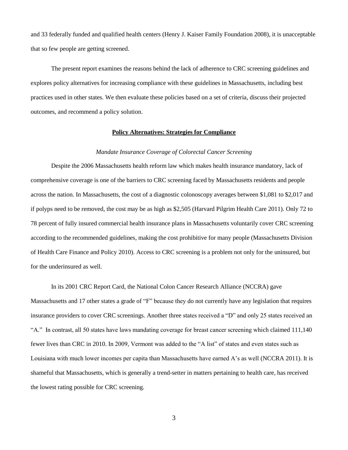and 33 federally funded and qualified health centers (Henry J. Kaiser Family Foundation 2008), it is unacceptable that so few people are getting screened.

The present report examines the reasons behind the lack of adherence to CRC screening guidelines and explores policy alternatives for increasing compliance with these guidelines in Massachusetts, including best practices used in other states. We then evaluate these policies based on a set of criteria, discuss their projected outcomes, and recommend a policy solution.

#### **Policy Alternatives: Strategies for Compliance**

#### *Mandate Insurance Coverage of Colorectal Cancer Screening*

Despite the 2006 Massachusetts health reform law which makes health insurance mandatory, lack of comprehensive coverage is one of the barriers to CRC screening faced by Massachusetts residents and people across the nation. In Massachusetts, the cost of a diagnostic colonoscopy averages between \$1,081 to \$2,017 and if polyps need to be removed, the cost may be as high as \$2,505 (Harvard Pilgrim Health Care 2011). Only 72 to 78 percent of fully insured commercial health insurance plans in Massachusetts voluntarily cover CRC screening according to the recommended guidelines, making the cost prohibitive for many people (Massachusetts Division of Health Care Finance and Policy 2010). Access to CRC screening is a problem not only for the uninsured, but for the underinsured as well.

In its 2001 CRC Report Card, the National Colon Cancer Research Alliance (NCCRA) gave

Massachusetts and 17 other states a grade of "F" because they do not currently have any legislation that requires insurance providers to cover CRC screenings. Another three states received a "D" and only 25 states received an "A." In contrast, all 50 states have laws mandating coverage for breast cancer screening which claimed 111,140 fewer lives than CRC in 2010. In 2009, Vermont was added to the "A list" of states and even states such as Louisiana with much lower incomes per capita than Massachusetts have earned A's as well (NCCRA 2011). It is shameful that Massachusetts, which is generally a trend-setter in matters pertaining to health care, has received the lowest rating possible for CRC screening.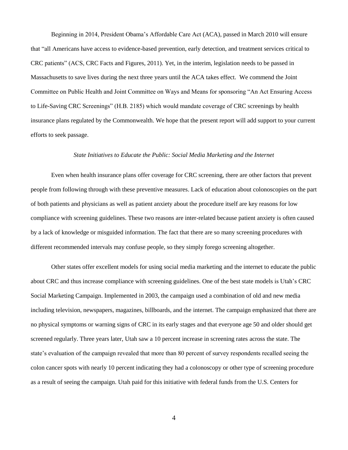Beginning in 2014, President Obama's Affordable Care Act (ACA), passed in March 2010 will ensure that "all Americans have access to evidence-based prevention, early detection, and treatment services critical to CRC patients" (ACS, CRC Facts and Figures, 2011). Yet, in the interim, legislation needs to be passed in Massachusetts to save lives during the next three years until the ACA takes effect. We commend the Joint Committee on Public Health and Joint Committee on Ways and Means for sponsoring "An Act Ensuring Access to Life-Saving CRC Screenings" (H.B. 2185) which would mandate coverage of CRC screenings by health insurance plans regulated by the Commonwealth. We hope that the present report will add support to your current efforts to seek passage.

#### *State Initiatives to Educate the Public: Social Media Marketing and the Internet*

Even when health insurance plans offer coverage for CRC screening, there are other factors that prevent people from following through with these preventive measures. Lack of education about colonoscopies on the part of both patients and physicians as well as patient anxiety about the procedure itself are key reasons for low compliance with screening guidelines. These two reasons are inter-related because patient anxiety is often caused by a lack of knowledge or misguided information. The fact that there are so many screening procedures with different recommended intervals may confuse people, so they simply forego screening altogether.

Other states offer excellent models for using social media marketing and the internet to educate the public about CRC and thus increase compliance with screening guidelines. One of the best state models is Utah's CRC Social Marketing Campaign. Implemented in 2003, the campaign used a combination of old and new media including television, newspapers, magazines, billboards, and the internet. The campaign emphasized that there are no physical symptoms or warning signs of CRC in its early stages and that everyone age 50 and older should get screened regularly. Three years later, Utah saw a 10 percent increase in screening rates across the state. The state's evaluation of the campaign revealed that more than 80 percent of survey respondents recalled seeing the colon cancer spots with nearly 10 percent indicating they had a colonoscopy or other type of screening procedure as a result of seeing the campaign. Utah paid for this initiative with federal funds from the U.S. Centers for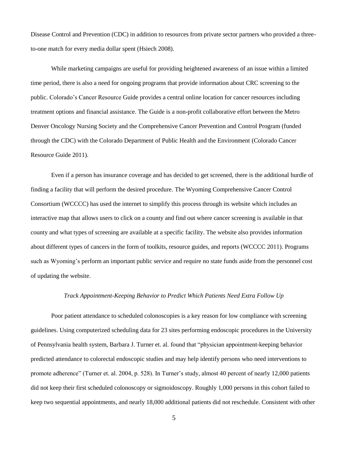Disease Control and Prevention (CDC) in addition to resources from private sector partners who provided a threeto-one match for every media dollar spent (Hsiech 2008).

While marketing campaigns are useful for providing heightened awareness of an issue within a limited time period, there is also a need for ongoing programs that provide information about CRC screening to the public. Colorado's Cancer Resource Guide provides a central online location for cancer resources including treatment options and financial assistance. The Guide is a non-profit collaborative effort between the Metro Denver Oncology Nursing Society and the Comprehensive Cancer Prevention and Control Program (funded through the CDC) with the Colorado Department of Public Health and the Environment (Colorado Cancer Resource Guide 2011).

Even if a person has insurance coverage and has decided to get screened, there is the additional hurdle of finding a facility that will perform the desired procedure. The Wyoming Comprehensive Cancer Control Consortium (WCCCC) has used the internet to simplify this process through its website which includes an interactive map that allows users to click on a county and find out where cancer screening is available in that county and what types of screening are available at a specific facility. The website also provides information about different types of cancers in the form of toolkits, resource guides, and reports (WCCCC 2011). Programs such as Wyoming's perform an important public service and require no state funds aside from the personnel cost of updating the website.

#### *Track Appointment-Keeping Behavior to Predict Which Patients Need Extra Follow Up*

Poor patient attendance to scheduled colonoscopies is a key reason for low compliance with screening guidelines. Using computerized scheduling data for 23 sites performing endoscopic procedures in the University of Pennsylvania health system, Barbara J. Turner et. al. found that "physician appointment-keeping behavior predicted attendance to colorectal endoscopic studies and may help identify persons who need interventions to promote adherence" (Turner et. al. 2004, p. 528). In Turner's study, almost 40 percent of nearly 12,000 patients did not keep their first scheduled colonoscopy or sigmoidoscopy. Roughly 1,000 persons in this cohort failed to keep two sequential appointments, and nearly 18,000 additional patients did not reschedule. Consistent with other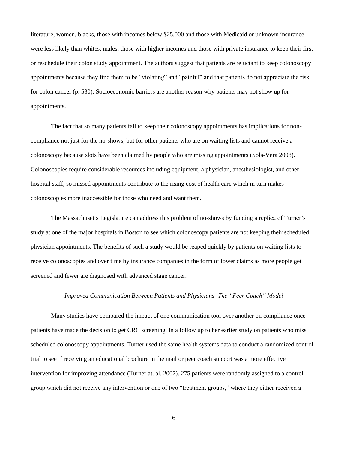literature, women, blacks, those with incomes below \$25,000 and those with Medicaid or unknown insurance were less likely than whites, males, those with higher incomes and those with private insurance to keep their first or reschedule their colon study appointment. The authors suggest that patients are reluctant to keep colonoscopy appointments because they find them to be "violating" and "painful" and that patients do not appreciate the risk for colon cancer (p. 530). Socioeconomic barriers are another reason why patients may not show up for appointments.

The fact that so many patients fail to keep their colonoscopy appointments has implications for noncompliance not just for the no-shows, but for other patients who are on waiting lists and cannot receive a colonoscopy because slots have been claimed by people who are missing appointments (Sola-Vera 2008). Colonoscopies require considerable resources including equipment, a physician, anesthesiologist, and other hospital staff, so missed appointments contribute to the rising cost of health care which in turn makes colonoscopies more inaccessible for those who need and want them.

The Massachusetts Legislature can address this problem of no-shows by funding a replica of Turner's study at one of the major hospitals in Boston to see which colonoscopy patients are not keeping their scheduled physician appointments. The benefits of such a study would be reaped quickly by patients on waiting lists to receive colonoscopies and over time by insurance companies in the form of lower claims as more people get screened and fewer are diagnosed with advanced stage cancer.

#### *Improved Communication Between Patients and Physicians: The "Peer Coach" Model*

Many studies have compared the impact of one communication tool over another on compliance once patients have made the decision to get CRC screening. In a follow up to her earlier study on patients who miss scheduled colonoscopy appointments, Turner used the same health systems data to conduct a randomized control trial to see if receiving an educational brochure in the mail or peer coach support was a more effective intervention for improving attendance (Turner at. al. 2007). 275 patients were randomly assigned to a control group which did not receive any intervention or one of two "treatment groups," where they either received a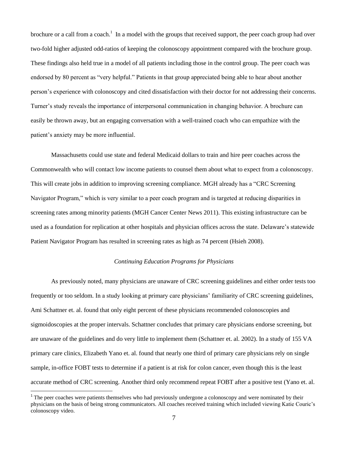brochure or a call from a coach.<sup>1</sup> In a model with the groups that received support, the peer coach group had over two-fold higher adjusted odd-ratios of keeping the colonoscopy appointment compared with the brochure group. These findings also held true in a model of all patients including those in the control group. The peer coach was endorsed by 80 percent as "very helpful." Patients in that group appreciated being able to hear about another person's experience with colonoscopy and cited dissatisfaction with their doctor for not addressing their concerns. Turner's study reveals the importance of interpersonal communication in changing behavior. A brochure can easily be thrown away, but an engaging conversation with a well-trained coach who can empathize with the patient's anxiety may be more influential.

Massachusetts could use state and federal Medicaid dollars to train and hire peer coaches across the Commonwealth who will contact low income patients to counsel them about what to expect from a colonoscopy. This will create jobs in addition to improving screening compliance. MGH already has a "CRC Screening Navigator Program," which is very similar to a peer coach program and is targeted at reducing disparities in screening rates among minority patients (MGH Cancer Center News 2011). This existing infrastructure can be used as a foundation for replication at other hospitals and physician offices across the state. Delaware's statewide Patient Navigator Program has resulted in screening rates as high as 74 percent (Hsieh 2008).

#### *Continuing Education Programs for Physicians*

As previously noted, many physicians are unaware of CRC screening guidelines and either order tests too frequently or too seldom. In a study looking at primary care physicians' familiarity of CRC screening guidelines, Ami Schattner et. al. found that only eight percent of these physicians recommended colonoscopies and sigmoidoscopies at the proper intervals. Schattner concludes that primary care physicians endorse screening, but are unaware of the guidelines and do very little to implement them (Schattner et. al. 2002). In a study of 155 VA primary care clinics, Elizabeth Yano et. al. found that nearly one third of primary care physicians rely on single sample, in-office FOBT tests to determine if a patient is at risk for colon cancer, even though this is the least accurate method of CRC screening. Another third only recommend repeat FOBT after a positive test (Yano et. al.

 $\overline{\phantom{a}}$ 

<sup>&</sup>lt;sup>1</sup> The peer coaches were patients themselves who had previously undergone a colonoscopy and were nominated by their physicians on the basis of being strong communicators. All coaches received training which included viewing Katie Couric's colonoscopy video.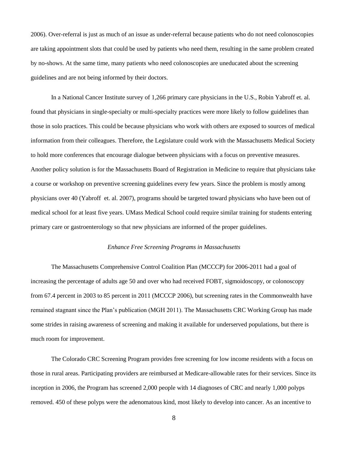2006). Over-referral is just as much of an issue as under-referral because patients who do not need colonoscopies are taking appointment slots that could be used by patients who need them, resulting in the same problem created by no-shows. At the same time, many patients who need colonoscopies are uneducated about the screening guidelines and are not being informed by their doctors.

In a National Cancer Institute survey of 1,266 primary care physicians in the U.S., Robin Yabroff et. al. found that physicians in single-specialty or multi-specialty practices were more likely to follow guidelines than those in solo practices. This could be because physicians who work with others are exposed to sources of medical information from their colleagues. Therefore, the Legislature could work with the Massachusetts Medical Society to hold more conferences that encourage dialogue between physicians with a focus on preventive measures. Another policy solution is for the Massachusetts Board of Registration in Medicine to require that physicians take a course or workshop on preventive screening guidelines every few years. Since the problem is mostly among physicians over 40 (Yabroff et. al. 2007), programs should be targeted toward physicians who have been out of medical school for at least five years. UMass Medical School could require similar training for students entering primary care or gastroenterology so that new physicians are informed of the proper guidelines.

#### *Enhance Free Screening Programs in Massachusetts*

The Massachusetts Comprehensive Control Coalition Plan (MCCCP) for 2006-2011 had a goal of increasing the percentage of adults age 50 and over who had received FOBT, sigmoidoscopy, or colonoscopy from 67.4 percent in 2003 to 85 percent in 2011 (MCCCP 2006), but screening rates in the Commonwealth have remained stagnant since the Plan's publication (MGH 2011). The Massachusetts CRC Working Group has made some strides in raising awareness of screening and making it available for underserved populations, but there is much room for improvement.

The Colorado CRC Screening Program provides free screening for low income residents with a focus on those in rural areas. Participating providers are reimbursed at Medicare-allowable rates for their services. Since its inception in 2006, the Program has screened 2,000 people with 14 diagnoses of CRC and nearly 1,000 polyps removed. 450 of these polyps were the adenomatous kind, most likely to develop into cancer. As an incentive to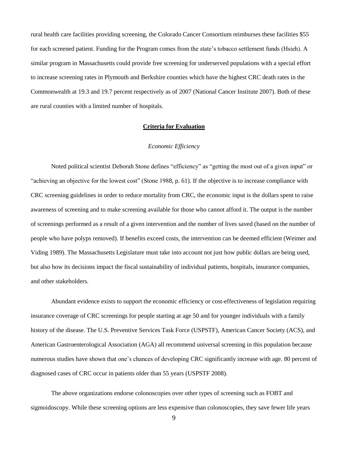rural health care facilities providing screening, the Colorado Cancer Consortium reimburses these facilities \$55 for each screened patient. Funding for the Program comes from the state's tobacco settlement funds (Hsieh). A similar program in Massachusetts could provide free screening for underserved populations with a special effort to increase screening rates in Plymouth and Berkshire counties which have the highest CRC death rates in the Commonwealth at 19.3 and 19.7 percent respectively as of 2007 (National Cancer Institute 2007). Both of these are rural counties with a limited number of hospitals.

#### **Criteria for Evaluation**

#### *Economic Efficiency*

Noted political scientist Deborah Stone defines "efficiency" as "getting the most out of a given input" or "achieving an objective for the lowest cost" (Stone 1988, p. 61). If the objective is to increase compliance with CRC screening guidelines in order to reduce mortality from CRC, the economic input is the dollars spent to raise awareness of screening and to make screening available for those who cannot afford it. The output is the number of screenings performed as a result of a given intervention and the number of lives saved (based on the number of people who have polyps removed). If benefits exceed costs, the intervention can be deemed efficient (Weimer and Viding 1989). The Massachusetts Legislature must take into account not just how public dollars are being used, but also how its decisions impact the fiscal sustainability of individual patients, hospitals, insurance companies, and other stakeholders.

Abundant evidence exists to support the economic efficiency or cost-effectiveness of legislation requiring insurance coverage of CRC screenings for people starting at age 50 and for younger individuals with a family history of the disease. The U.S. Preventive Services Task Force (USPSTF), American Cancer Society (ACS), and American Gastroenterological Association (AGA) all recommend universal screening in this population because numerous studies have shown that one's chances of developing CRC significantly increase with age. 80 percent of diagnosed cases of CRC occur in patients older than 55 years (USPSTF 2008).

The above organizations endorse colonoscopies over other types of screening such as FOBT and sigmoidoscopy. While these screening options are less expensive than colonoscopies, they save fewer life years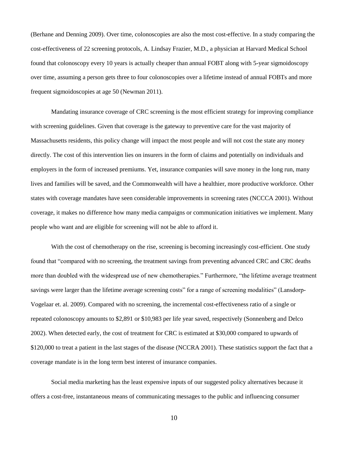(Berhane and Denning 2009). Over time, colonoscopies are also the most cost-effective. In a study comparing the cost-effectiveness of 22 screening protocols, A. Lindsay Frazier, M.D., a physician at Harvard Medical School found that colonoscopy every 10 years is actually cheaper than annual FOBT along with 5-year sigmoidoscopy over time, assuming a person gets three to four colonoscopies over a lifetime instead of annual FOBTs and more frequent sigmoidoscopies at age 50 (Newman 2011).

Mandating insurance coverage of CRC screening is the most efficient strategy for improving compliance with screening guidelines. Given that coverage is the gateway to preventive care for the vast majority of Massachusetts residents, this policy change will impact the most people and will not cost the state any money directly. The cost of this intervention lies on insurers in the form of claims and potentially on individuals and employers in the form of increased premiums. Yet, insurance companies will save money in the long run, many lives and families will be saved, and the Commonwealth will have a healthier, more productive workforce. Other states with coverage mandates have seen considerable improvements in screening rates (NCCCA 2001). Without coverage, it makes no difference how many media campaigns or communication initiatives we implement. Many people who want and are eligible for screening will not be able to afford it.

With the cost of chemotherapy on the rise, screening is becoming increasingly cost-efficient. One study found that "compared with no screening, the treatment savings from preventing advanced CRC and CRC deaths more than doubled with the widespread use of new chemotherapies." Furthermore, "the lifetime average treatment savings were larger than the lifetime average screening costs" for a range of screening modalities" (Lansdorp-Vogelaar et. al. 2009). Compared with no screening, the incremental cost-effectiveness ratio of a single or repeated colonoscopy amounts to \$2,891 or \$10,983 per life year saved, respectively (Sonnenberg and Delco 2002). When detected early, the cost of treatment for CRC is estimated at \$30,000 compared to upwards of \$120,000 to treat a patient in the last stages of the disease (NCCRA 2001). These statistics support the fact that a coverage mandate is in the long term best interest of insurance companies.

Social media marketing has the least expensive inputs of our suggested policy alternatives because it offers a cost-free, instantaneous means of communicating messages to the public and influencing consumer

10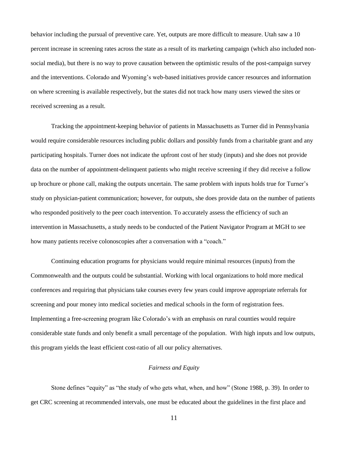behavior including the pursual of preventive care. Yet, outputs are more difficult to measure. Utah saw a 10 percent increase in screening rates across the state as a result of its marketing campaign (which also included nonsocial media), but there is no way to prove causation between the optimistic results of the post-campaign survey and the interventions. Colorado and Wyoming's web-based initiatives provide cancer resources and information on where screening is available respectively, but the states did not track how many users viewed the sites or received screening as a result.

Tracking the appointment-keeping behavior of patients in Massachusetts as Turner did in Pennsylvania would require considerable resources including public dollars and possibly funds from a charitable grant and any participating hospitals. Turner does not indicate the upfront cost of her study (inputs) and she does not provide data on the number of appointment-delinquent patients who might receive screening if they did receive a follow up brochure or phone call, making the outputs uncertain. The same problem with inputs holds true for Turner's study on physician-patient communication; however, for outputs, she does provide data on the number of patients who responded positively to the peer coach intervention. To accurately assess the efficiency of such an intervention in Massachusetts, a study needs to be conducted of the Patient Navigator Program at MGH to see how many patients receive colonoscopies after a conversation with a "coach."

Continuing education programs for physicians would require minimal resources (inputs) from the Commonwealth and the outputs could be substantial. Working with local organizations to hold more medical conferences and requiring that physicians take courses every few years could improve appropriate referrals for screening and pour money into medical societies and medical schools in the form of registration fees. Implementing a free-screening program like Colorado's with an emphasis on rural counties would require considerable state funds and only benefit a small percentage of the population. With high inputs and low outputs, this program yields the least efficient cost-ratio of all our policy alternatives.

#### *Fairness and Equity*

Stone defines "equity" as "the study of who gets what, when, and how" (Stone 1988, p. 39). In order to get CRC screening at recommended intervals, one must be educated about the guidelines in the first place and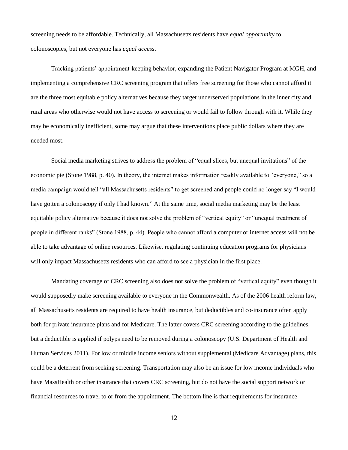screening needs to be affordable. Technically, all Massachusetts residents have *equal opportunity* to colonoscopies, but not everyone has *equal access*.

Tracking patients' appointment-keeping behavior, expanding the Patient Navigator Program at MGH, and implementing a comprehensive CRC screening program that offers free screening for those who cannot afford it are the three most equitable policy alternatives because they target underserved populations in the inner city and rural areas who otherwise would not have access to screening or would fail to follow through with it. While they may be economically inefficient, some may argue that these interventions place public dollars where they are needed most.

Social media marketing strives to address the problem of "equal slices, but unequal invitations" of the economic pie (Stone 1988, p. 40). In theory, the internet makes information readily available to "everyone," so a media campaign would tell "all Massachusetts residents" to get screened and people could no longer say "I would have gotten a colonoscopy if only I had known." At the same time, social media marketing may be the least equitable policy alternative because it does not solve the problem of "vertical equity" or "unequal treatment of people in different ranks" (Stone 1988, p. 44). People who cannot afford a computer or internet access will not be able to take advantage of online resources. Likewise, regulating continuing education programs for physicians will only impact Massachusetts residents who can afford to see a physician in the first place.

Mandating coverage of CRC screening also does not solve the problem of "vertical equity" even though it would supposedly make screening available to everyone in the Commonwealth. As of the 2006 health reform law, all Massachusetts residents are required to have health insurance, but deductibles and co-insurance often apply both for private insurance plans and for Medicare. The latter covers CRC screening according to the guidelines, but a deductible is applied if polyps need to be removed during a colonoscopy (U.S. Department of Health and Human Services 2011). For low or middle income seniors without supplemental (Medicare Advantage) plans, this could be a deterrent from seeking screening. Transportation may also be an issue for low income individuals who have MassHealth or other insurance that covers CRC screening, but do not have the social support network or financial resources to travel to or from the appointment. The bottom line is that requirements for insurance

12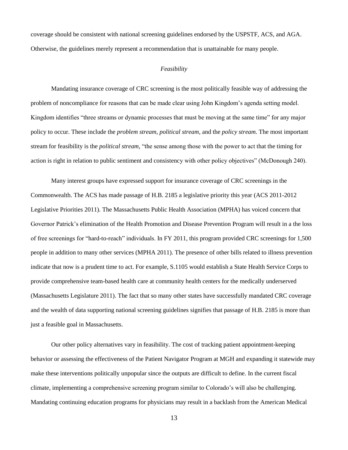coverage should be consistent with national screening guidelines endorsed by the USPSTF, ACS, and AGA. Otherwise, the guidelines merely represent a recommendation that is unattainable for many people.

#### *Feasibility*

Mandating insurance coverage of CRC screening is the most politically feasible way of addressing the problem of noncompliance for reasons that can be made clear using John Kingdom's agenda setting model. Kingdom identifies "three streams or dynamic processes that must be moving at the same time" for any major policy to occur. These include the *problem stream*, *political stream*, and the *policy stream*. The most important stream for feasibility is the *political stream*, "the sense among those with the power to act that the timing for action is right in relation to public sentiment and consistency with other policy objectives" (McDonough 240).

Many interest groups have expressed support for insurance coverage of CRC screenings in the Commonwealth. The ACS has made passage of H.B. 2185 a legislative priority this year (ACS 2011-2012 Legislative Priorities 2011). The Massachusetts Public Health Association (MPHA) has voiced concern that Governor Patrick's elimination of the Health Promotion and Disease Prevention Program will result in a the loss of free screenings for "hard-to-reach" individuals. In FY 2011, this program provided CRC screenings for 1,500 people in addition to many other services (MPHA 2011). The presence of other bills related to illness prevention indicate that now is a prudent time to act. For example, S.1105 would establish a State Health Service Corps to provide comprehensive team-based health care at community health centers for the medically underserved (Massachusetts Legislature 2011). The fact that so many other states have successfully mandated CRC coverage and the wealth of data supporting national screening guidelines signifies that passage of H.B. 2185 is more than just a feasible goal in Massachusetts.

Our other policy alternatives vary in feasibility. The cost of tracking patient appointment-keeping behavior or assessing the effectiveness of the Patient Navigator Program at MGH and expanding it statewide may make these interventions politically unpopular since the outputs are difficult to define. In the current fiscal climate, implementing a comprehensive screening program similar to Colorado's will also be challenging. Mandating continuing education programs for physicians may result in a backlash from the American Medical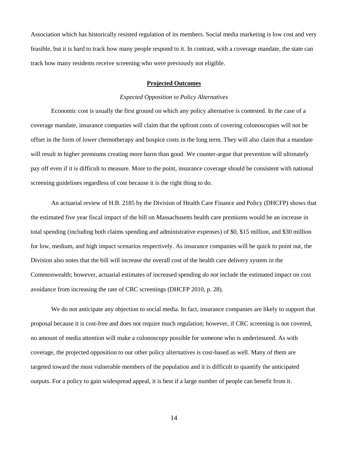Association which has historically resisted regulation of its members. Social media marketing is low cost and very feasible, but it is hard to track how many people respond to it. In contrast, with a coverage mandate, the state can track how many residents receive screening who were previously not eligible.

#### **Projected Outcomes**

#### *Expected Opposition to Policy Alternatives*

Economic cost is usually the first ground on which any policy alternative is contested. In the case of a coverage mandate, insurance companies will claim that the upfront costs of covering colonoscopies will not be offset in the form of lower chemotherapy and hospice costs in the long term. They will also claim that a mandate will result in higher premiums creating more harm than good. We counter-argue that prevention will ultimately pay off even if it is difficult to measure. More to the point, insurance coverage should be consistent with national screening guidelines regardless of cost because it is the right thing to do.

An actuarial review of H.B. 2185 by the Division of Health Care Finance and Policy (DHCFP) shows that the estimated five year fiscal impact of the bill on Massachusetts health care premiums would be an increase in total spending (including both claims spending and administrative expenses) of \$0, \$15 million, and \$30 million for low, medium, and high impact scenarios respectively. As insurance companies will be quick to point out, the Division also notes that the bill will increase the overall cost of the health care delivery system in the Commonwealth; however, actuarial estimates of increased spending *do not* include the estimated impact on cost avoidance from increasing the rate of CRC screenings (DHCFP 2010, p. 28).

We do not anticipate any objection to social media. In fact, insurance companies are likely to support that proposal because it is cost-free and does not require much regulation; however, if CRC screening is not covered, no amount of media attention will make a colonoscopy possible for someone who is underinsured. As with coverage, the projected opposition to our other policy alternatives is cost-based as well. Many of them are targeted toward the most vulnerable members of the population and it is difficult to quantify the anticipated outputs. For a policy to gain widespread appeal, it is best if a large number of people can benefit from it.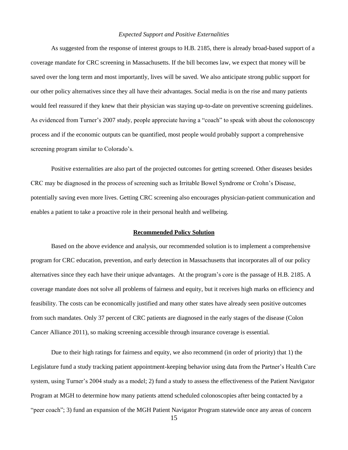#### *Expected Support and Positive Externalities*

As suggested from the response of interest groups to H.B. 2185, there is already broad-based support of a coverage mandate for CRC screening in Massachusetts. If the bill becomes law, we expect that money will be saved over the long term and most importantly, lives will be saved. We also anticipate strong public support for our other policy alternatives since they all have their advantages. Social media is on the rise and many patients would feel reassured if they knew that their physician was staying up-to-date on preventive screening guidelines. As evidenced from Turner's 2007 study, people appreciate having a "coach" to speak with about the colonoscopy process and if the economic outputs can be quantified, most people would probably support a comprehensive screening program similar to Colorado's.

Positive externalities are also part of the projected outcomes for getting screened. Other diseases besides CRC may be diagnosed in the process of screening such as Irritable Bowel Syndrome or Crohn's Disease, potentially saving even more lives. Getting CRC screening also encourages physician-patient communication and enables a patient to take a proactive role in their personal health and wellbeing.

#### **Recommended Policy Solution**

Based on the above evidence and analysis, our recommended solution is to implement a comprehensive program for CRC education, prevention, and early detection in Massachusetts that incorporates all of our policy alternatives since they each have their unique advantages. At the program's core is the passage of H.B. 2185. A coverage mandate does not solve all problems of fairness and equity, but it receives high marks on efficiency and feasibility. The costs can be economically justified and many other states have already seen positive outcomes from such mandates. Only 37 percent of CRC patients are diagnosed in the early stages of the disease (Colon Cancer Alliance 2011), so making screening accessible through insurance coverage is essential.

Due to their high ratings for fairness and equity, we also recommend (in order of priority) that 1) the Legislature fund a study tracking patient appointment-keeping behavior using data from the Partner's Health Care system, using Turner's 2004 study as a model; 2) fund a study to assess the effectiveness of the Patient Navigator Program at MGH to determine how many patients attend scheduled colonoscopies after being contacted by a "peer coach"; 3) fund an expansion of the MGH Patient Navigator Program statewide once any areas of concern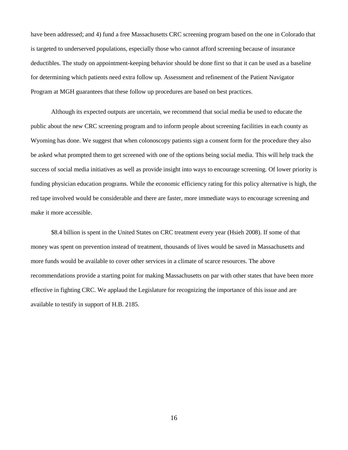have been addressed; and 4) fund a free Massachusetts CRC screening program based on the one in Colorado that is targeted to underserved populations, especially those who cannot afford screening because of insurance deductibles. The study on appointment-keeping behavior should be done first so that it can be used as a baseline for determining which patients need extra follow up. Assessment and refinement of the Patient Navigator Program at MGH guarantees that these follow up procedures are based on best practices.

Although its expected outputs are uncertain, we recommend that social media be used to educate the public about the new CRC screening program and to inform people about screening facilities in each county as Wyoming has done. We suggest that when colonoscopy patients sign a consent form for the procedure they also be asked what prompted them to get screened with one of the options being social media. This will help track the success of social media initiatives as well as provide insight into ways to encourage screening. Of lower priority is funding physician education programs. While the economic efficiency rating for this policy alternative is high, the red tape involved would be considerable and there are faster, more immediate ways to encourage screening and make it more accessible.

\$8.4 billion is spent in the United States on CRC treatment every year (Hsieh 2008). If some of that money was spent on prevention instead of treatment, thousands of lives would be saved in Massachusetts and more funds would be available to cover other services in a climate of scarce resources. The above recommendations provide a starting point for making Massachusetts on par with other states that have been more effective in fighting CRC. We applaud the Legislature for recognizing the importance of this issue and are available to testify in support of H.B. 2185.

16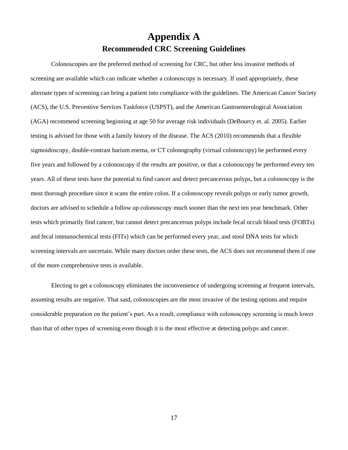# **Appendix A Recommended CRC Screening Guidelines**

Colonoscopies are the preferred method of screening for CRC, but other less invasive methods of screening are available which can indicate whether a colonoscopy is necessary. If used appropriately, these alternate types of screening can bring a patient into compliance with the guidelines. The American Cancer Society (ACS), the U.S. Preventive Services Taskforce (USPST), and the American Gastroenterological Association (AGA) recommend screening beginning at age 50 for average risk individuals (DeBourcy et. al. 2005). Earlier testing is advised for those with a family history of the disease. The ACS (2010) recommends that a flexible sigmoidoscopy, double-contrast barium enema, or CT colonography (virtual colonoscopy) be performed every five years and followed by a colonoscopy if the results are positive, or that a colonoscopy be performed every ten years. All of these tests have the potential to find cancer and detect precancerous polyps, but a colonoscopy is the most thorough procedure since it scans the entire colon. If a colonoscopy reveals polyps or early tumor growth, doctors are advised to schedule a follow up colonoscopy much sooner than the next ten year benchmark. Other tests which primarily find cancer, but cannot detect precancerous polyps include fecal occult blood tests (FOBTs) and fecal immunochemical tests (FITs) which can be performed every year, and stool DNA tests for which screening intervals are uncertain. While many doctors order these tests, the ACS does not recommend them if one of the more comprehensive tests is available.

Electing to get a colonoscopy eliminates the inconvenience of undergoing screening at frequent intervals, assuming results are negative. That said, colonoscopies are the most invasive of the testing options and require considerable preparation on the patient's part. As a result, compliance with colonoscopy screening is much lower than that of other types of screening even though it is the most effective at detecting polyps and cancer.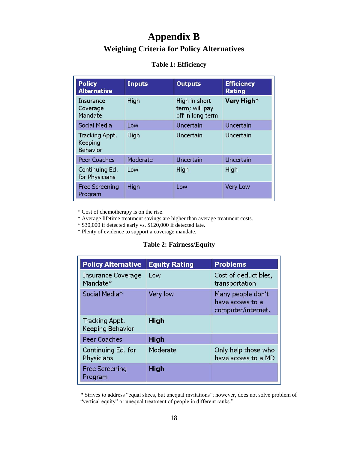# **Appendix B**

## **Weighing Criteria for Policy Alternatives**

### **Table 1: Efficiency**

| <b>Policy</b><br><b>Alternative</b>          | <b>Inputs</b> | <b>Outputs</b>                                      | <b>Efficiency</b><br><b>Rating</b> |
|----------------------------------------------|---------------|-----------------------------------------------------|------------------------------------|
| Insurance<br>Coverage<br>Mandate             | High          | High in short<br>term; will pay<br>off in long term | Very High*                         |
| <b>Social Media</b>                          | Low           | Uncertain                                           | Uncertain                          |
| Tracking Appt.<br>Keeping<br><b>Behavior</b> | High          | Uncertain                                           | Uncertain                          |
| <b>Peer Coaches</b>                          | Moderate      | Uncertain                                           | <b>Uncertain</b>                   |
| Continuing Ed.<br>for Physicians             | Low           | High                                                | High                               |
| <b>Free Screening</b><br>Program             | High          | Low                                                 | <b>Very Low</b>                    |

\* Cost of chemotherapy is on the rise.

\* Average lifetime treatment savings are higher than average treatment costs.

\* \$30,000 if detected early vs. \$120,000 if detected late.

\* Plenty of evidence to support a coverage mandate.

### **Table 2: Fairness/Equity**

| <b>Policy Alternative</b>                         | <b>Equity Rating</b> | <b>Problems</b>                                             |
|---------------------------------------------------|----------------------|-------------------------------------------------------------|
| <b>Insurance Coverage</b><br>Mandate <sup>*</sup> | Low                  | Cost of deductibles,<br>transportation                      |
| Social Media <sup>*</sup>                         | <b>Very low</b>      | Many people don't<br>have access to a<br>computer/internet. |
| Tracking Appt.<br>Keeping Behavior                | High                 |                                                             |
| <b>Peer Coaches</b>                               | <b>High</b>          |                                                             |
| Continuing Ed. for<br>Physicians                  | Moderate             | Only help those who<br>have access to a MD                  |
| <b>Free Screening</b><br>Program                  | <b>High</b>          |                                                             |

 \* Strives to address "equal slices, but unequal invitations"; however, does not solve problem of "vertical equity" or unequal treatment of people in different ranks."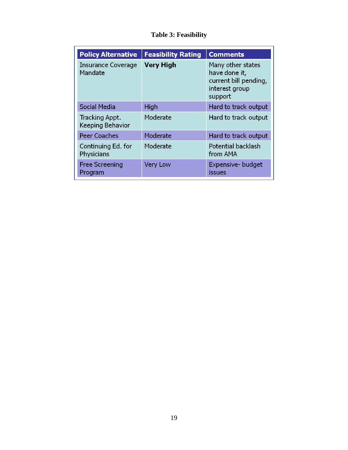## **Table 3: Feasibility**

| <b>Policy Alternative</b>            | <b>Feasibility Rating</b> | <b>Comments</b>                                                                          |
|--------------------------------------|---------------------------|------------------------------------------------------------------------------------------|
| <b>Insurance Coverage</b><br>Mandate | <b>Very High</b>          | Many other states<br>have done it,<br>current bill pending,<br>interest group<br>support |
| Social Media                         | High                      | Hard to track output                                                                     |
| Tracking Appt.<br>Keeping Behavior   | Moderate                  | Hard to track output                                                                     |
| <b>Peer Coaches</b>                  | Moderate                  | Hard to track output                                                                     |
| Continuing Ed. for<br>Physicians     | Moderate                  | Potential backlash<br>from AMA                                                           |
| <b>Free Screening</b><br>Program     | <b>Very Low</b>           | Expensive- budget<br><b>issues</b>                                                       |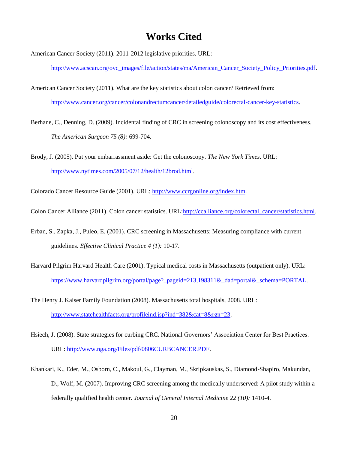# **Works Cited**

American Cancer Society (2011). 2011-2012 legislative priorities. URL:

[http://www.acscan.org/ovc\\_images/file/action/states/ma/American\\_Cancer\\_Society\\_Policy\\_Priorities.pdf.](http://www.acscan.org/ovc_images/file/action/states/ma/American_Cancer_Society_Policy_Priorities.pdf)

American Cancer Society (2011). What are the key statistics about colon cancer? Retrieved from: [http://www.cancer.org/cancer/colonandrectumcancer/detailedguide/colorectal-cancer-key-statistics.](http://www.cancer.org/cancer/colonandrectumcancer/detailedguide/colorectal-cancer-key-statistics)

- Berhane, C., Denning, D. (2009). Incidental finding of CRC in screening colonoscopy and its cost effectiveness. *The American Surgeon 75 (8):* 699-704.
- Brody, J. (2005). Put your embarrassment aside: Get the colonoscopy. *The New York Times*. URL: [http://www.nytimes.com/2005/07/12/health/12brod.html.](http://www.nytimes.com/2005/07/12/health/12brod.html)

Colorado Cancer Resource Guide (2001). URL: [http://www.ccrgonline.org/index.htm.](http://www.ccrgonline.org/index.htm)

Colon Cancer Alliance (2011). Colon cancer statistics. URL[:http://ccalliance.org/colorectal\\_cancer/statistics.html.](http://ccalliance.org/colorectal_cancer/statistics.html)

- Erban, S., Zapka, J., Puleo, E. (2001). CRC screening in Massachusetts: Measuring compliance with current guidelines. *Effective Clinical Practice 4 (1):* 10-17.
- Harvard Pilgrim Harvard Health Care (2001). Typical medical costs in Massachusetts (outpatient only). URL: [https://www.harvardpilgrim.org/portal/page?\\_pageid=213,198311&\\_dad=portal&\\_schema=PORTAL.](https://www.harvardpilgrim.org/portal/page?_pageid=213,198311&_dad=portal&_schema=PORTAL)
- The Henry J. Kaiser Family Foundation (2008). Massachusetts total hospitals, 2008. URL: [http://www.statehealthfacts.org/profileind.jsp?ind=382&cat=8&rgn=23.](http://www.statehealthfacts.org/profileind.jsp?ind=382&cat=8&rgn=23)
- Hsiech, J. (2008). State strategies for curbing CRC. National Governors' Association Center for Best Practices. URL: [http://www.nga.org/Files/pdf/0806CURBCANCER.PDF.](http://www.nga.org/Files/pdf/0806CURBCANCER.PDF)
- Khankari, K., Eder, M., Osborn, C., Makoul, G., Clayman, M., Skripkauskas, S., Diamond-Shapiro, Makundan, D., Wolf, M. (2007). Improving CRC screening among the medically underserved: A pilot study within a federally qualified health center. *Journal of General Internal Medicine 22 (10):* 1410-4.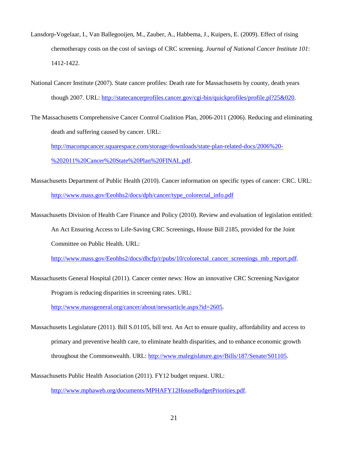- Lansdorp-Vogelaar, I., Van Ballegooijen, M., Zauber, A., Habbema, J., Kuipers, E. (2009). Effect of rising chemotherapy costs on the cost of savings of CRC screening. *Journal of National Cancer Institute 101*: 1412-1422.
- National Cancer Institute (2007). State cancer profiles: Death rate for Massachusetts by county, death years though 2007. URL[: http://statecancerprofiles.cancer.gov/cgi-bin/quickprofiles/profile.pl?25&020.](http://statecancerprofiles.cancer.gov/cgi-bin/quickprofiles/profile.pl?25&020)
- The Massachusetts Comprehensive Cancer Control Coalition Plan, 2006-2011 (2006). Reducing and eliminating death and suffering caused by cancer. URL:

[http://macompcancer.squarespace.com/storage/downloads/state-plan-related-docs/2006%20-](http://macompcancer.squarespace.com/storage/downloads/state-plan-related-docs/2006%20-%202011%20Cancer%20State%20Plan%20FINAL.pdf) [%202011%20Cancer%20State%20Plan%20FINAL.pdf.](http://macompcancer.squarespace.com/storage/downloads/state-plan-related-docs/2006%20-%202011%20Cancer%20State%20Plan%20FINAL.pdf)

- Massachusetts Department of Public Health (2010). Cancer information on specific types of cancer: CRC. URL: [http://www.mass.gov/Eeohhs2/docs/dph/cancer/type\\_colorectal\\_info.pdf](http://www.mass.gov/Eeohhs2/docs/dph/cancer/type_colorectal_info.pdf)
- Massachusetts Division of Health Care Finance and Policy (2010). Review and evaluation of legislation entitled: An Act Ensuring Access to Life-Saving CRC Screenings, House Bill 2185, provided for the Joint Committee on Public Health. URL:

[http://www.mass.gov/Eeohhs2/docs/dhcfp/r/pubs/10/colorectal\\_cancer\\_screenings\\_mb\\_report.pdf.](http://www.mass.gov/Eeohhs2/docs/dhcfp/r/pubs/10/colorectal_cancer_screenings_mb_report.pdf)

Massachusetts General Hospital (2011). Cancer center news: How an innovative CRC Screening Navigator Program is reducing disparities in screening rates. URL:

[http://www.massgeneral.org/cancer/about/newsarticle.aspx?id=2605.](http://www.massgeneral.org/cancer/about/newsarticle.aspx?id=2605)

- Massachusetts Legislature (2011). Bill S.01105, bill text. An Act to ensure quality, affordability and access to primary and preventive health care, to eliminate health disparities, and to enhance economic growth throughout the Commonwealth. URL: [http://www.malegislature.gov/Bills/187/Senate/S01105.](http://www.malegislature.gov/Bills/187/Senate/S01105)
- Massachusetts Public Health Association (2011). FY12 budget request. URL:

[http://www.mphaweb.org/documents/MPHAFY12HouseBudgetPriorities.pdf.](http://www.mphaweb.org/documents/MPHAFY12HouseBudgetPriorities.pdf)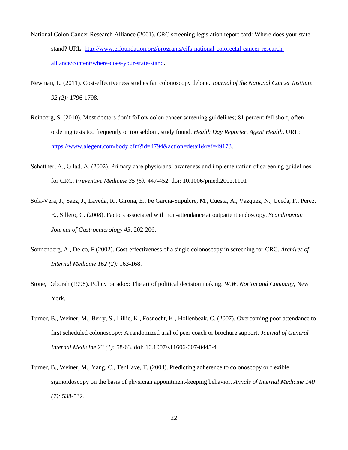- National Colon Cancer Research Alliance (2001). CRC screening legislation report card: Where does your state stand? URL[: http://www.eifoundation.org/programs/eifs-national-colorectal-cancer-research](http://www.eifoundation.org/programs/eifs-national-colorectal-cancer-research-alliance/content/where-does-your-state-stand)[alliance/content/where-does-your-state-stand.](http://www.eifoundation.org/programs/eifs-national-colorectal-cancer-research-alliance/content/where-does-your-state-stand)
- Newman, L. (2011). Cost-effectiveness studies fan colonoscopy debate. *Journal of the National Cancer Institute 92 (2):* 1796-1798.
- Reinberg, S. (2010). Most doctors don't follow colon cancer screening guidelines; 81 percent fell short, often ordering tests too frequently or too seldom, study found. *Health Day Reporter, Agent Health*. URL: [https://www.alegent.com/body.cfm?id=4794&action=detail&ref=49173.](https://www.alegent.com/body.cfm?id=4794&action=detail&ref=49173)
- Schattner, A., Gilad, A. (2002). Primary care physicians' awareness and implementation of screening guidelines for CRC. *Preventive Medicine 35 (5):* 447-452. doi: 10.1006/pmed.2002.1101
- Sola-Vera, J., Saez, J., Laveda, R., Girona, E., Fe Garcia-Supulcre, M., Cuesta, A., Vazquez, N., Uceda, F., Perez, E., Sillero, C. (2008). Factors associated with non-attendance at outpatient endoscopy. *Scandinavian Journal of Gastroenterology 43*: 202-206.
- Sonnenberg, A., Delco, F.(2002). Cost-effectiveness of a single colonoscopy in screening for CRC. *Archives of Internal Medicine 162 (2):* 163-168.
- Stone, Deborah (1998). Policy paradox: The art of political decision making. *W.W. Norton and Company*, New York.
- Turner, B., Weiner, M., Berry, S., Lillie, K., Fosnocht, K., Hollenbeak, C. (2007). Overcoming poor attendance to first scheduled colonoscopy: A randomized trial of peer coach or brochure support. *Journal of General Internal Medicine 23 (1):* 58-63. doi: 10.1007/s11606-007-0445-4
- Turner, B., Weiner, M., Yang, C., TenHave, T. (2004). Predicting adherence to colonoscopy or flexible sigmoidoscopy on the basis of physician appointment-keeping behavior. *Annals of Internal Medicine 140 (7):* 538-532.